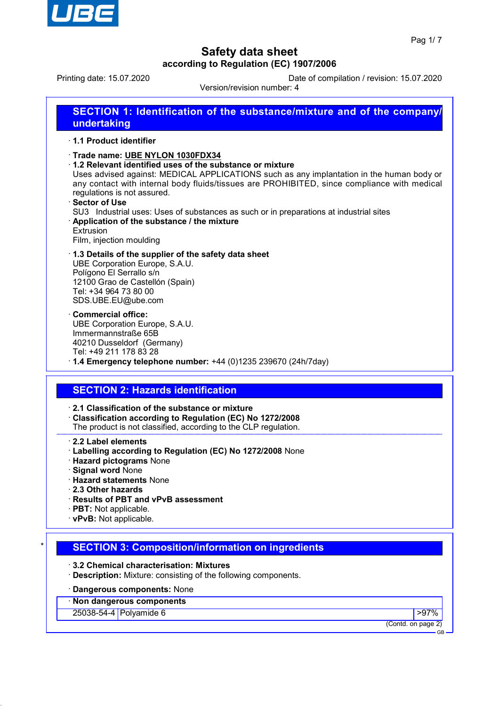

Printing date: 15.07.2020 Date of compilation / revision: 15.07.2020

Version/revision number: 4

| <b>SECTION 1: Identification of the substance/mixture and of the company/</b><br>undertaking        |
|-----------------------------------------------------------------------------------------------------|
| ⋅ 1.1 Product identifier                                                                            |
| Trade name: UBE NYLON 1030FDX34<br>$\cdot$ 1.2 Relevant identified uses of the substance or mixture |

Uses advised against: MEDICAL APPLICATIONS such as any implantation in the human body or any contact with internal body fluids/tissues are PROHIBITED, since compliance with medical regulations is not assured.

**Sector of Use** 

SU3 Industrial uses: Uses of substances as such or in preparations at industrial sites

· **Application of the substance / the mixture** Extrusion

Film, injection moulding

#### · **1.3 Details of the supplier of the safety data sheet** UBE Corporation Europe, S.A.U. Polígono El Serrallo s/n 12100 Grao de Castellón (Spain) Tel: +34 964 73 80 00 SDS.UBE.EU@ube.com

· **Commercial office:** UBE Corporation Europe, S.A.U. Immermannstraße 65B 40210 Dusseldorf (Germany) Tel: +49 211 178 83 28

· **1.4 Emergency telephone number:** +44 (0)1235 239670 (24h/7day)

## **SECTION 2: Hazards identification**

· **2.1 Classification of the substance or mixture**

- · **Classification according to Regulation (EC) No 1272/2008**
- The product is not classified, according to the CLP regulation.

### · **2.2 Label elements**

- · **Labelling according to Regulation (EC) No 1272/2008** None
- · **Hazard pictograms** None
- · **Signal word** None
- · **Hazard statements** None
- · **2.3 Other hazards**
- · **Results of PBT and vPvB assessment**
- · **PBT:** Not applicable.
- · **vPvB:** Not applicable.

## **SECTION 3: Composition/information on ingredients**

- · **3.2 Chemical characterisation: Mixtures**
- · **Description:** Mixture: consisting of the following components.

### · **Dangerous components:** None

· **Non dangerous components**

25038-54-4 Polyamide 6 >97%

(Contd. on page 2)

GB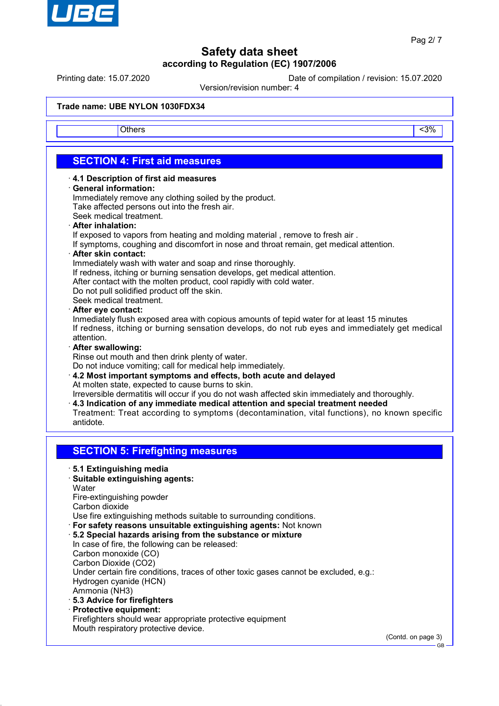

Printing date: 15.07.2020 Date of compilation / revision: 15.07.2020

Version/revision number: 4

### **Trade name: UBE NYLON 1030FDX34**

Others and the contract of the contract of the contract of the contract of the contract of the contract of the contract of the contract of the contract of the contract of the contract of the contract of the contract of the

## **SECTION 4: First aid measures**

- · **4.1 Description of first aid measures**
- · **General information:**

Immediately remove any clothing soiled by the product. Take affected persons out into the fresh air.

- Seek medical treatment.
- · **After inhalation:**

If exposed to vapors from heating and molding material , remove to fresh air .

- If symptoms, coughing and discomfort in nose and throat remain, get medical attention.
- · **After skin contact:**

Immediately wash with water and soap and rinse thoroughly.

- If redness, itching or burning sensation develops, get medical attention.
- After contact with the molten product, cool rapidly with cold water.
- Do not pull solidified product off the skin.

Seek medical treatment.

#### · **After eye contact:**

Inmediately flush exposed area with copious amounts of tepid water for at least 15 minutes If redness, itching or burning sensation develops, do not rub eyes and immediately get medical attention.

#### · **After swallowing:**

Rinse out mouth and then drink plenty of water.

Do not induce vomiting; call for medical help immediately.

- · **4.2 Most important symptoms and effects, both acute and delayed** At molten state, expected to cause burns to skin.
- Irreversible dermatitis will occur if you do not wash affected skin immediately and thoroughly.
- · **4.3 Indication of any immediate medical attention and special treatment needed** Treatment: Treat according to symptoms (decontamination, vital functions), no known specific
- antidote.

## **SECTION 5: Firefighting measures**

- · **5.1 Extinguishing media**
- · **Suitable extinguishing agents: Water**

Fire-extinguishing powder Carbon dioxide

Use fire extinguishing methods suitable to surrounding conditions.

- · **For safety reasons unsuitable extinguishing agents:** Not known
- · **5.2 Special hazards arising from the substance or mixture** In case of fire, the following can be released: Carbon monoxide (CO) Carbon Dioxide (CO2) Under certain fire conditions, traces of other toxic gases cannot be excluded, e.g.: Hydrogen cyanide (HCN)
	- Ammonia (NH3)
- · **5.3 Advice for firefighters**
- · **Protective equipment:**
- Firefighters should wear appropriate protective equipment Mouth respiratory protective device.

(Contd. on page 3)

GB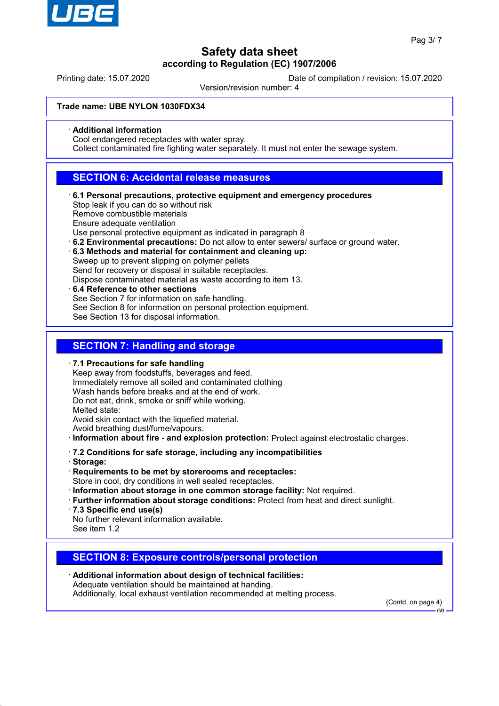

Printing date: 15.07.2020 Date of compilation / revision: 15.07.2020

Version/revision number: 4

#### **Trade name: UBE NYLON 1030FDX34**

· **Additional information**

Cool endangered receptacles with water spray.

Collect contaminated fire fighting water separately. It must not enter the sewage system.

## **SECTION 6: Accidental release measures**

· **6.1 Personal precautions, protective equipment and emergency procedures** Stop leak if you can do so without risk

Remove combustible materials

Ensure adequate ventilation

Use personal protective equipment as indicated in paragraph 8

- · **6.2 Environmental precautions:** Do not allow to enter sewers/ surface or ground water.
- · **6.3 Methods and material for containment and cleaning up:** Sweep up to prevent slipping on polymer pellets Send for recovery or disposal in suitable receptacles.
	- Dispose contaminated material as waste according to item 13.
- · **6.4 Reference to other sections** See Section 7 for information on safe handling. See Section 8 for information on personal protection equipment. See Section 13 for disposal information.

## **SECTION 7: Handling and storage**

· **7.1 Precautions for safe handling**

Keep away from foodstuffs, beverages and feed. Immediately remove all soiled and contaminated clothing Wash hands before breaks and at the end of work. Do not eat, drink, smoke or sniff while working. Melted state: Avoid skin contact with the liquefied material. Avoid breathing dust/fume/vapours. · **Information about fire - and explosion protection:** Protect against electrostatic charges.

- · **7.2 Conditions for safe storage, including any incompatibilities**
- · **Storage:**
- · **Requirements to be met by storerooms and receptacles:** Store in cool, dry conditions in well sealed receptacles.
- · **Information about storage in one common storage facility:** Not required.
- · **Further information about storage conditions:** Protect from heat and direct sunlight.
- · **7.3 Specific end use(s)**

No further relevant information available. See item 1.2

## **SECTION 8: Exposure controls/personal protection**

· **Additional information about design of technical facilities:** Adequate ventilation should be maintained at handing. Additionally, local exhaust ventilation recommended at melting process.

(Contd. on page 4)

GB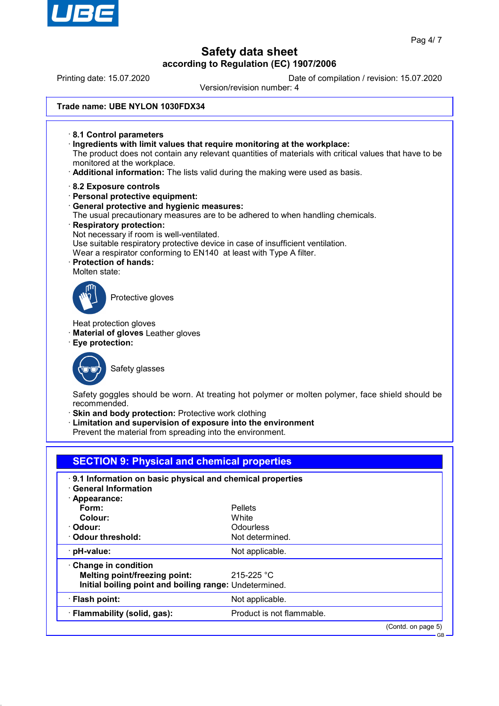

Printing date: 15.07.2020 Date of compilation / revision: 15.07.2020

Version/revision number: 4

### **Trade name: UBE NYLON 1030FDX34**

- · **8.1 Control parameters** · **Ingredients with limit values that require monitoring at the workplace:** The product does not contain any relevant quantities of materials with critical values that have to be monitored at the workplace. · **Additional information:** The lists valid during the making were used as basis.
- 
- · **8.2 Exposure controls**
- · **Personal protective equipment:**
- · **General protective and hygienic measures:**
- The usual precautionary measures are to be adhered to when handling chemicals.
- · **Respiratory protection:** Not necessary if room is well-ventilated. Use suitable respiratory protective device in case of insufficient ventilation. Wear a respirator conforming to EN140 at least with Type A filter.
- · **Protection of hands:** Molten state:



Protective gloves

Heat protection gloves

· **Material of gloves** Leather gloves

· **Eye protection:**



Safety glasses

Safety goggles should be worn. At treating hot polymer or molten polymer, face shield should be recommended.

**Skin and body protection: Protective work clothing** 

Limitation and supervision of exposure into the environment

Prevent the material from spreading into the environment.

| <b>SECTION 9: Physical and chemical properties</b>        |                           |                    |
|-----------------------------------------------------------|---------------------------|--------------------|
| 9.1 Information on basic physical and chemical properties |                           |                    |
| $\cdot$ General Information                               |                           |                    |
| · Appearance:                                             |                           |                    |
| Form:                                                     | Pellets                   |                    |
| Colour:                                                   | White                     |                    |
| · Odour:                                                  | Odourless                 |                    |
| $\cdot$ Odour threshold:                                  | Not determined.           |                    |
| $\cdot$ pH-value:                                         | Not applicable.           |                    |
| Change in condition                                       |                           |                    |
| Melting point/freezing point:                             | 215-225 °C                |                    |
| Initial boiling point and boiling range: Undetermined.    |                           |                    |
| · Flash point:                                            | Not applicable.           |                    |
| · Flammability (solid, gas):                              | Product is not flammable. |                    |
|                                                           |                           | (Contd. on page 5) |

GB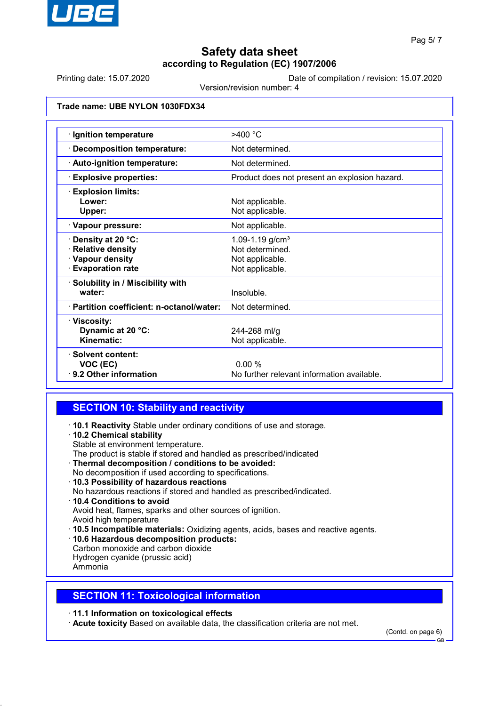

Printing date: 15.07.2020 Date of compilation / revision: 15.07.2020

Version/revision number: 4

### **Trade name: UBE NYLON 1030FDX34**

| · Ignition temperature                    | $>400$ °C                                     |
|-------------------------------------------|-----------------------------------------------|
| <b>Decomposition temperature:</b>         | Not determined.                               |
| · Auto-ignition temperature:              | Not determined.                               |
| <b>Explosive properties:</b>              | Product does not present an explosion hazard. |
| <b>Explosion limits:</b>                  |                                               |
| Lower:                                    | Not applicable.                               |
| Upper:                                    | Not applicable.                               |
| · Vapour pressure:                        | Not applicable.                               |
| Density at 20 °C:                         | 1.09-1.19 $g/cm3$                             |
| <b>Relative density</b>                   | Not determined.                               |
| · Vapour density                          | Not applicable.                               |
| <b>Evaporation rate</b>                   | Not applicable.                               |
| Solubility in / Miscibility with          |                                               |
| water:                                    | Insoluble.                                    |
| · Partition coefficient: n-octanol/water: | Not determined.                               |
| · Viscosity:                              |                                               |
| Dynamic at 20 °C:                         | 244-268 ml/g                                  |
| Kinematic:                                | Not applicable.                               |
| · Solvent content:                        |                                               |
| VOC (EC)                                  | 0.00%                                         |
| ⋅ 9.2 Other information                   | No further relevant information available.    |

## **SECTION 10: Stability and reactivity**

- · **10.1 Reactivity** Stable under ordinary conditions of use and storage.
- · **10.2 Chemical stability**
- Stable at environment temperature.
- The product is stable if stored and handled as prescribed/indicated
- · **Thermal decomposition / conditions to be avoided:**
- No decomposition if used according to specifications.
- · **10.3 Possibility of hazardous reactions**
- No hazardous reactions if stored and handled as prescribed/indicated.
- · **10.4 Conditions to avoid** Avoid heat, flames, sparks and other sources of ignition.
- Avoid high temperature
- · **10.5 Incompatible materials:** Oxidizing agents, acids, bases and reactive agents.
- · **10.6 Hazardous decomposition products:**
- Carbon monoxide and carbon dioxide Hydrogen cyanide (prussic acid)
- Ammonia

## **SECTION 11: Toxicological information**

· **11.1 Information on toxicological effects**

· **Acute toxicity** Based on available data, the classification criteria are not met.

(Contd. on page 6)

GB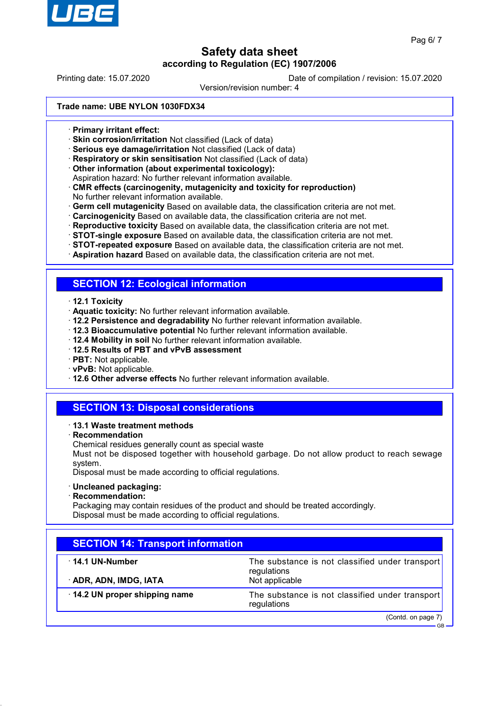

Printing date: 15.07.2020 Date of compilation / revision: 15.07.2020

Version/revision number: 4

### **Trade name: UBE NYLON 1030FDX34**

- · **Primary irritant effect:**
- · **Skin corrosion/irritation** Not classified (Lack of data)
- · **Serious eye damage/irritation** Not classified (Lack of data)
- · **Respiratory or skin sensitisation** Not classified (Lack of data)
- · **Other information (about experimental toxicology):**
- Aspiration hazard: No further relevant information available.
- · **CMR effects (carcinogenity, mutagenicity and toxicity for reproduction)** No further relevant information available.
- · **Germ cell mutagenicity** Based on available data, the classification criteria are not met.
- · **Carcinogenicity** Based on available data, the classification criteria are not met.
- · **Reproductive toxicity** Based on available data, the classification criteria are not met.
- · **STOT-single exposure** Based on available data, the classification criteria are not met.
- · **STOT-repeated exposure** Based on available data, the classification criteria are not met.
- · **Aspiration hazard** Based on available data, the classification criteria are not met.

### **SECTION 12: Ecological information**

- · **12.1 Toxicity**
- · **Aquatic toxicity:** No further relevant information available.
- · **12.2 Persistence and degradability** No further relevant information available.
- · **12.3 Bioaccumulative potential** No further relevant information available.
- · **12.4 Mobility in soil** No further relevant information available.
- · **12.5 Results of PBT and vPvB assessment**
- · **PBT:** Not applicable.
- · **vPvB:** Not applicable.
- · **12.6 Other adverse effects** No further relevant information available.

## **SECTION 13: Disposal considerations**

- · **13.1 Waste treatment methods**
- · **Recommendation**
- Chemical residues generally count as special waste
- Must not be disposed together with household garbage. Do not allow product to reach sewage system.

Disposal must be made according to official regulations.

- · **Uncleaned packaging:**
- · **Recommendation:**

Packaging may contain residues of the product and should be treated accordingly. Disposal must be made according to official regulations.

| <b>SECTION 14: Transport information</b>                       |  |  |
|----------------------------------------------------------------|--|--|
| The substance is not classified under transport<br>regulations |  |  |
| Not applicable                                                 |  |  |
| The substance is not classified under transport<br>regulations |  |  |
| (Contd. on page 7)<br>$GB -$                                   |  |  |
|                                                                |  |  |